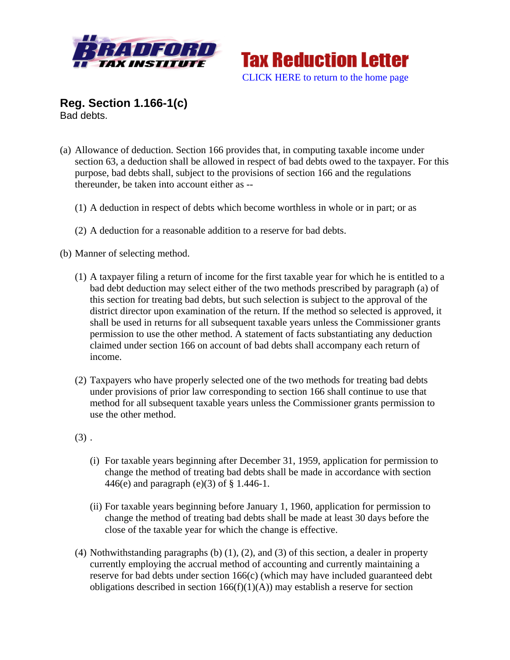



**Reg. Section 1.166-1(c)** Bad debts.

- (a) Allowance of deduction. Section 166 provides that, in computing taxable income under section 63, a deduction shall be allowed in respect of bad debts owed to the taxpayer. For this purpose, bad debts shall, subject to the provisions of section 166 and the regulations thereunder, be taken into account either as --
	- (1) A deduction in respect of debts which become worthless in whole or in part; or as
	- (2) A deduction for a reasonable addition to a reserve for bad debts.
- (b) Manner of selecting method.
	- (1) A taxpayer filing a return of income for the first taxable year for which he is entitled to a bad debt deduction may select either of the two methods prescribed by paragraph (a) of this section for treating bad debts, but such selection is subject to the approval of the district director upon examination of the return. If the method so selected is approved, it shall be used in returns for all subsequent taxable years unless the Commissioner grants permission to use the other method. A statement of facts substantiating any deduction claimed under section 166 on account of bad debts shall accompany each return of income.
	- (2) Taxpayers who have properly selected one of the two methods for treating bad debts under provisions of prior law corresponding to section 166 shall continue to use that method for all subsequent taxable years unless the Commissioner grants permission to use the other method.
	- $(3)$ .
		- (i) For taxable years beginning after December 31, 1959, application for permission to change the method of treating bad debts shall be made in accordance with section 446(e) and paragraph (e)(3) of § 1.446-1.
		- (ii) For taxable years beginning before January 1, 1960, application for permission to change the method of treating bad debts shall be made at least 30 days before the close of the taxable year for which the change is effective.
	- (4) Nothwithstanding paragraphs (b) (1), (2), and (3) of this section, a dealer in property currently employing the accrual method of accounting and currently maintaining a reserve for bad debts under section 166(c) (which may have included guaranteed debt obligations described in section  $166(f)(1)(A)$  may establish a reserve for section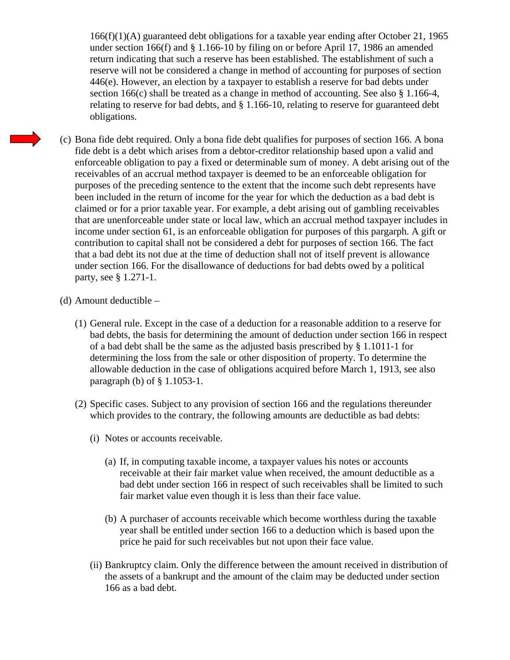$166(f)(1)(A)$  guaranteed debt obligations for a taxable year ending after October 21, 1965 under section 166(f) and § 1.166-10 by filing on or before April 17, 1986 an amended return indicating that such a reserve has been established. The establishment of such a reserve will not be considered a change in method of accounting for purposes of section 446(e). However, an election by a taxpayer to establish a reserve for bad debts under section 166(c) shall be treated as a change in method of accounting. See also § 1.166-4, relating to reserve for bad debts, and § 1.166-10, relating to reserve for guaranteed debt obligations.

- (c) Bona fide debt required. Only a bona fide debt qualifies for purposes of section 166. A bona fide debt is a debt which arises from a debtor-creditor relationship based upon a valid and enforceable obligation to pay a fixed or determinable sum of money. A debt arising out of the receivables of an accrual method taxpayer is deemed to be an enforceable obligation for purposes of the preceding sentence to the extent that the income such debt represents have been included in the return of income for the year for which the deduction as a bad debt is claimed or for a prior taxable year. For example, a debt arising out of gambling receivables that are unenforceable under state or local law, which an accrual method taxpayer includes in income under section 61, is an enforceable obligation for purposes of this pargarph. A gift or contribution to capital shall not be considered a debt for purposes of section 166. The fact that a bad debt its not due at the time of deduction shall not of itself prevent is allowance under section 166. For the disallowance of deductions for bad debts owed by a political party, see § 1.271-1.
- (d) Amount deductible
	- (1) General rule. Except in the case of a deduction for a reasonable addition to a reserve for bad debts, the basis for determining the amount of deduction under section 166 in respect of a bad debt shall be the same as the adjusted basis prescribed by § 1.1011-1 for determining the loss from the sale or other disposition of property. To determine the allowable deduction in the case of obligations acquired before March 1, 1913, see also paragraph (b) of § 1.1053-1.
	- (2) Specific cases. Subject to any provision of section 166 and the regulations thereunder which provides to the contrary, the following amounts are deductible as bad debts:
		- (i) Notes or accounts receivable.
			- (a) If, in computing taxable income, a taxpayer values his notes or accounts receivable at their fair market value when received, the amount deductible as a bad debt under section 166 in respect of such receivables shall be limited to such fair market value even though it is less than their face value.
			- (b) A purchaser of accounts receivable which become worthless during the taxable year shall be entitled under section 166 to a deduction which is based upon the price he paid for such receivables but not upon their face value.
		- (ii) Bankruptcy claim. Only the difference between the amount received in distribution of the assets of a bankrupt and the amount of the claim may be deducted under section 166 as a bad debt.